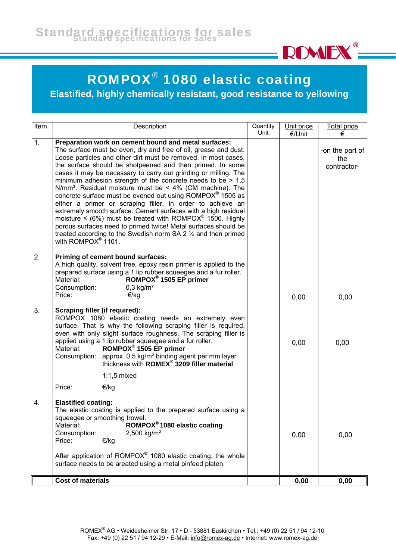

## ROMPOX® 1080 elastic coating

**Elastified, highly chemically resistant, good resistance to yellowing**

| Item           | Description                                                                                                                                                                                                                                                                                                                                                                                                                                                                                                                                                                                                                                                                                                                                                                                                                                                                                                                                   | <b>Quantity</b><br>Unit | Unit price<br>€/Unit | <b>Total price</b>                         |
|----------------|-----------------------------------------------------------------------------------------------------------------------------------------------------------------------------------------------------------------------------------------------------------------------------------------------------------------------------------------------------------------------------------------------------------------------------------------------------------------------------------------------------------------------------------------------------------------------------------------------------------------------------------------------------------------------------------------------------------------------------------------------------------------------------------------------------------------------------------------------------------------------------------------------------------------------------------------------|-------------------------|----------------------|--------------------------------------------|
| $\mathbf{1}$ . | Preparation work on cement bound and metal surfaces:<br>The surface must be even, dry and free of oil, grease and dust.<br>Loose particles and other dirt must be removed. In most cases,<br>the surface should be shotpeened and then primed. In some<br>cases it may be necessary to carry out grinding or milling. The<br>minimum adhesion strength of the concrete needs to be $> 1.5$<br>N/mm <sup>2</sup> . Residual moisture must be $\leq 4\%$ (CM machine). The<br>concrete surface must be evened out using ROMPOX <sup>®</sup> 1505 as<br>either a primer or scraping filler, in order to achieve an<br>extremely smooth surface. Cement surfaces with a high residual<br>moisture $\leq$ (6%) must be treated with ROMPOX <sup>®</sup> 1506. Highly<br>porous surfaces need to primed twice! Metal surfaces should be<br>treated according to the Swedish norm SA 2 $\frac{1}{2}$ and then primed<br>with ROMPO $X^{\circ}$ 1101. |                         |                      | €<br>-on the part of<br>the<br>contractor- |
| 2.             | Priming of cement bound surfaces:<br>A high quality, solvent free, epoxy resin primer is applied to the<br>prepared surface using a 1 lip rubber squeegee and a fur roller.<br>ROMPOX <sup>®</sup> 1505 EP primer<br>Material:<br>$0.3$ kg/m <sup>2</sup><br>Consumption:<br>Price:<br>€/kg                                                                                                                                                                                                                                                                                                                                                                                                                                                                                                                                                                                                                                                   |                         | 0,00                 | 0,00                                       |
| 3.             | Scraping filler (if required):<br>ROMPOX 1080 elastic coating needs an extremely even<br>surface. That is why the following scraping filler is required,<br>even with only slight surface roughness. The scraping filler is<br>applied using a 1 lip rubber squeegee and a fur roller.<br>ROMPOX <sup>®</sup> 1505 EP primer<br>Material:<br>approx. 0,5 kg/m <sup>2</sup> binding agent per mm layer<br>thickness with ROMEX <sup>®</sup> 3209 filler material<br>Consumption:                                                                                                                                                                                                                                                                                                                                                                                                                                                               |                         | 0,00                 | 0,00                                       |
|                | $1:1,5$ mixed<br>Price:<br>€/kg                                                                                                                                                                                                                                                                                                                                                                                                                                                                                                                                                                                                                                                                                                                                                                                                                                                                                                               |                         |                      |                                            |
| 4.             | <b>Elastified coating:</b><br>The elastic coating is applied to the prepared surface using a<br>squeegee or smoothing trowel.<br>ROMPOX <sup>®</sup> 1080 elastic coating<br>Material:<br>2,500 kg/m <sup>2</sup><br>Consumption:<br>Price:<br>€/kg<br>After application of $ROMPOX®$ 1080 elastic coating, the whole<br>surface needs to be areated using a metal pinfeed platen.                                                                                                                                                                                                                                                                                                                                                                                                                                                                                                                                                            |                         | 0,00                 | 0,00                                       |
|                | <b>Cost of materials</b>                                                                                                                                                                                                                                                                                                                                                                                                                                                                                                                                                                                                                                                                                                                                                                                                                                                                                                                      |                         | 0,00                 | 0,00                                       |